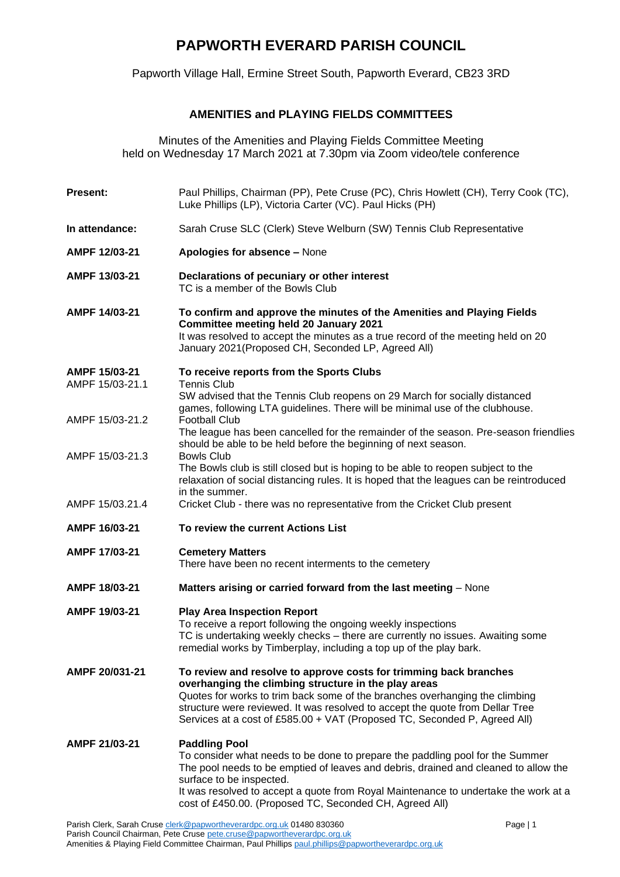## **PAPWORTH EVERARD PARISH COUNCIL**

Papworth Village Hall, Ermine Street South, Papworth Everard, CB23 3RD

## **AMENITIES and PLAYING FIELDS COMMITTEES**

Minutes of the Amenities and Playing Fields Committee Meeting held on Wednesday 17 March 2021 at 7.30pm via Zoom video/tele conference

| Present:                         | Paul Phillips, Chairman (PP), Pete Cruse (PC), Chris Howlett (CH), Terry Cook (TC),<br>Luke Phillips (LP), Victoria Carter (VC). Paul Hicks (PH)                                                                                                                                                                                                                           |
|----------------------------------|----------------------------------------------------------------------------------------------------------------------------------------------------------------------------------------------------------------------------------------------------------------------------------------------------------------------------------------------------------------------------|
| In attendance:                   | Sarah Cruse SLC (Clerk) Steve Welburn (SW) Tennis Club Representative                                                                                                                                                                                                                                                                                                      |
| AMPF 12/03-21                    | Apologies for absence - None                                                                                                                                                                                                                                                                                                                                               |
| AMPF 13/03-21                    | Declarations of pecuniary or other interest<br>TC is a member of the Bowls Club                                                                                                                                                                                                                                                                                            |
| AMPF 14/03-21                    | To confirm and approve the minutes of the Amenities and Playing Fields<br><b>Committee meeting held 20 January 2021</b><br>It was resolved to accept the minutes as a true record of the meeting held on 20<br>January 2021 (Proposed CH, Seconded LP, Agreed All)                                                                                                         |
| AMPF 15/03-21<br>AMPF 15/03-21.1 | To receive reports from the Sports Clubs<br><b>Tennis Club</b><br>SW advised that the Tennis Club reopens on 29 March for socially distanced                                                                                                                                                                                                                               |
| AMPF 15/03-21.2                  | games, following LTA guidelines. There will be minimal use of the clubhouse.<br><b>Football Club</b><br>The league has been cancelled for the remainder of the season. Pre-season friendlies<br>should be able to be held before the beginning of next season.                                                                                                             |
| AMPF 15/03-21.3                  | <b>Bowls Club</b><br>The Bowls club is still closed but is hoping to be able to reopen subject to the<br>relaxation of social distancing rules. It is hoped that the leagues can be reintroduced<br>in the summer.                                                                                                                                                         |
| AMPF 15/03.21.4                  | Cricket Club - there was no representative from the Cricket Club present                                                                                                                                                                                                                                                                                                   |
| AMPF 16/03-21                    | To review the current Actions List                                                                                                                                                                                                                                                                                                                                         |
| AMPF 17/03-21                    | <b>Cemetery Matters</b><br>There have been no recent interments to the cemetery                                                                                                                                                                                                                                                                                            |
| AMPF 18/03-21                    | Matters arising or carried forward from the last meeting - None                                                                                                                                                                                                                                                                                                            |
| AMPF 19/03-21                    | <b>Play Area Inspection Report</b><br>To receive a report following the ongoing weekly inspections<br>TC is undertaking weekly checks – there are currently no issues. Awaiting some<br>remedial works by Timberplay, including a top up of the play bark.                                                                                                                 |
| AMPF 20/031-21                   | To review and resolve to approve costs for trimming back branches<br>overhanging the climbing structure in the play areas<br>Quotes for works to trim back some of the branches overhanging the climbing<br>structure were reviewed. It was resolved to accept the quote from Dellar Tree<br>Services at a cost of £585.00 + VAT (Proposed TC, Seconded P, Agreed All)     |
| AMPF 21/03-21                    | <b>Paddling Pool</b><br>To consider what needs to be done to prepare the paddling pool for the Summer<br>The pool needs to be emptied of leaves and debris, drained and cleaned to allow the<br>surface to be inspected.<br>It was resolved to accept a quote from Royal Maintenance to undertake the work at a<br>cost of £450.00. (Proposed TC, Seconded CH, Agreed All) |